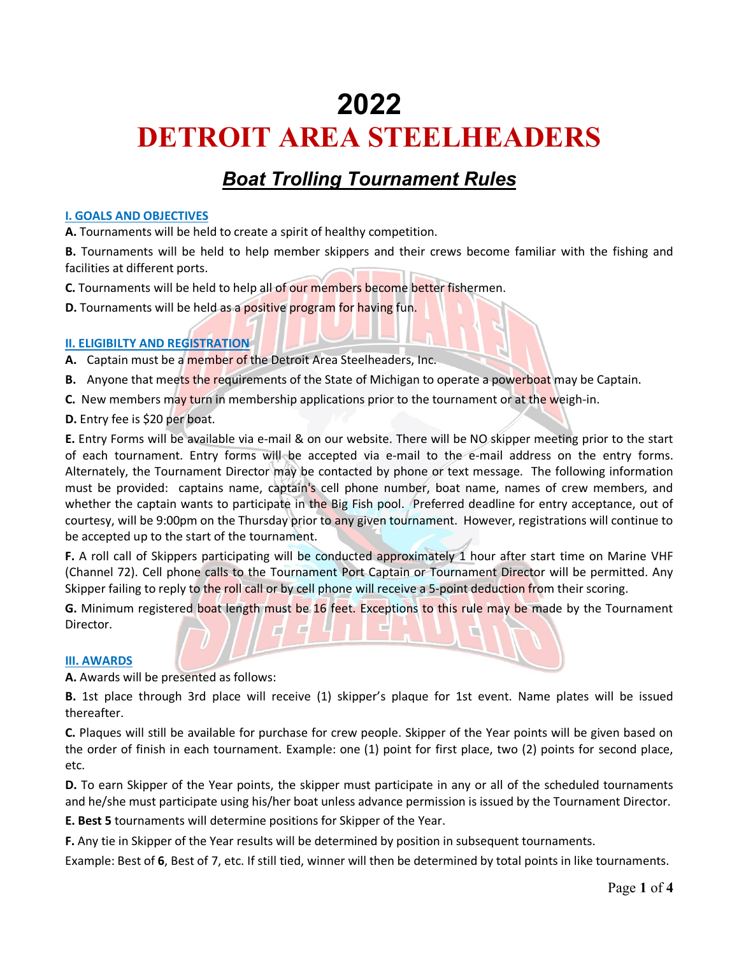# **2022 DETROIT AREA STEELHEADERS**

# *Boat Trolling Tournament Rules*

### **I. GOALS AND OBJECTIVES**

**A.** Tournaments will be held to create a spirit of healthy competition.

**B.** Tournaments will be held to help member skippers and their crews become familiar with the fishing and facilities at different ports.

**C.** Tournaments will be held to help all of our members become better fishermen.

**D.** Tournaments will be held as a positive program for having fun.

# **II. ELIGIBILTY AND REGISTRATION**

**A.** Captain must be a member of the Detroit Area Steelheaders, Inc.

- **B.** Anyone that meets the requirements of the State of Michigan to operate a powerboat may be Captain.
- **C.** New members may turn in membership applications prior to the tournament or at the weigh-in.
- **D.** Entry fee is \$20 per boat.

**E.** Entry Forms will be available via e-mail & on our website. There will be NO skipper meeting prior to the start of each tournament. Entry forms will be accepted via e-mail to the e-mail address on the entry forms. Alternately, the Tournament Director may be contacted by phone or text message. The following information must be provided: captains name, captain's cell phone number, boat name, names of crew members, and whether the captain wants to participate in the Big Fish pool. Preferred deadline for entry acceptance, out of courtesy, will be 9:00pm on the Thursday prior to any given tournament. However, registrations will continue to be accepted up to the start of the tournament.

**F.** A roll call of Skippers participating will be conducted approximately 1 hour after start time on Marine VHF (Channel 72). Cell phone calls to the Tournament Port Captain or Tournament Director will be permitted. Any Skipper failing to reply to the roll call or by cell phone will receive a 5-point deduction from their scoring.

**G.** Minimum registered boat length must be 16 feet. Exceptions to this rule may be made by the Tournament Director.

# **III. AWARDS**

**A.** Awards will be presented as follows:

**B.** 1st place through 3rd place will receive (1) skipper's plaque for 1st event. Name plates will be issued thereafter.

**C.** Plaques will still be available for purchase for crew people. Skipper of the Year points will be given based on the order of finish in each tournament. Example: one (1) point for first place, two (2) points for second place, etc.

**D.** To earn Skipper of the Year points, the skipper must participate in any or all of the scheduled tournaments and he/she must participate using his/her boat unless advance permission is issued by the Tournament Director.

**E. Best 5** tournaments will determine positions for Skipper of the Year.

**F.** Any tie in Skipper of the Year results will be determined by position in subsequent tournaments.

Example: Best of **6**, Best of 7, etc. If still tied, winner will then be determined by total points in like tournaments.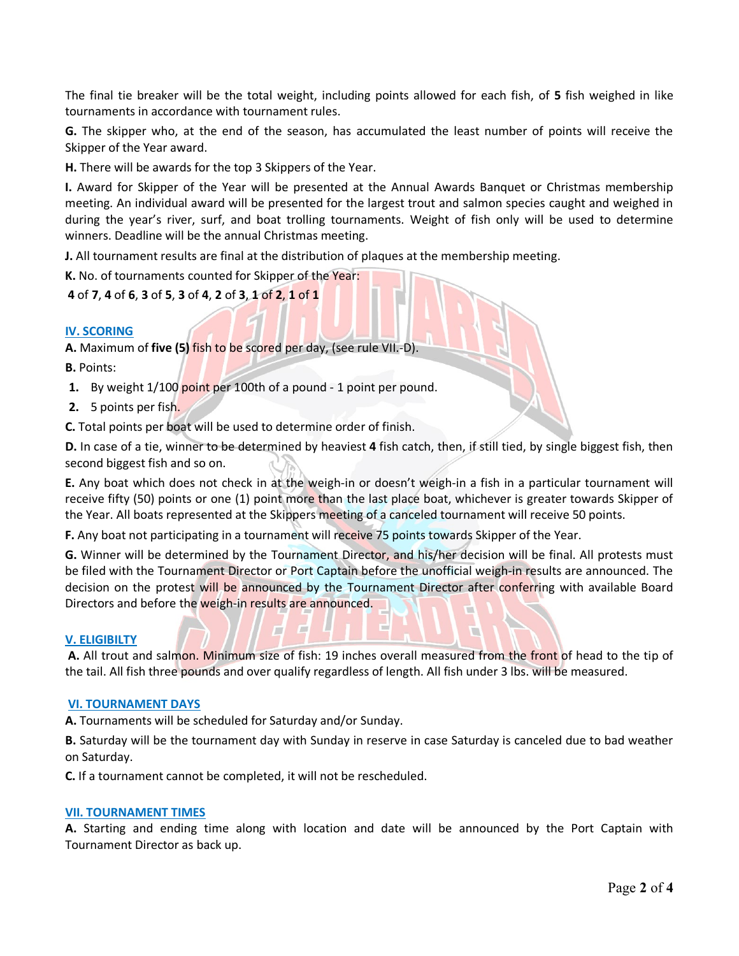The final tie breaker will be the total weight, including points allowed for each fish, of **5** fish weighed in like tournaments in accordance with tournament rules.

**G.** The skipper who, at the end of the season, has accumulated the least number of points will receive the Skipper of the Year award.

**H.** There will be awards for the top 3 Skippers of the Year.

**I.** Award for Skipper of the Year will be presented at the Annual Awards Banquet or Christmas membership meeting. An individual award will be presented for the largest trout and salmon species caught and weighed in during the year's river, surf, and boat trolling tournaments. Weight of fish only will be used to determine winners. Deadline will be the annual Christmas meeting.

**J.** All tournament results are final at the distribution of plaques at the membership meeting.

**K.** No. of tournaments counted for Skipper of the Year:

**4** of **7**, **4** of **6**, **3** of **5**, **3** of **4**, **2** of **3**, **1** of **2**, **1** of **1**

#### **IV. SCORING**

**A.** Maximum of **five (5)** fish to be scored per day, (see rule VII.-D).

**B.** Points:

**1.** By weight 1/100 point per 100th of a pound - 1 point per pound.

**2.** 5 points per fish.

**C.** Total points per boat will be used to determine order of finish.

**D.** In case of a tie, winner to be determined by heaviest **4** fish catch, then, if still tied, by single biggest fish, then second biggest fish and so on.

**E.** Any boat which does not check in at the weigh-in or doesn't weigh-in a fish in a particular tournament will receive fifty (50) points or one (1) point more than the last place boat, whichever is greater towards Skipper of the Year. All boats represented at the Skippers meeting of a canceled tournament will receive 50 points.

**F.** Any boat not participating in a tournament will receive 75 points towards Skipper of the Year.

**G.** Winner will be determined by the Tournament Director, and his/her decision will be final. All protests must be filed with the Tournament Director or Port Captain before the unofficial weigh-in results are announced. The decision on the protest will be announced by the Tournament Director after conferring with available Board Directors and before the weigh-in results are announced.

#### **V. ELIGIBILTY**

**A.** All trout and salmon. Minimum size of fish: 19 inches overall measured from the front of head to the tip of the tail. All fish three pounds and over qualify regardless of length. All fish under 3 lbs. will be measured.

#### **VI. TOURNAMENT DAYS**

**A.** Tournaments will be scheduled for Saturday and/or Sunday.

**B.** Saturday will be the tournament day with Sunday in reserve in case Saturday is canceled due to bad weather on Saturday.

**C.** If a tournament cannot be completed, it will not be rescheduled.

#### **VII. TOURNAMENT TIMES**

**A.** Starting and ending time along with location and date will be announced by the Port Captain with Tournament Director as back up.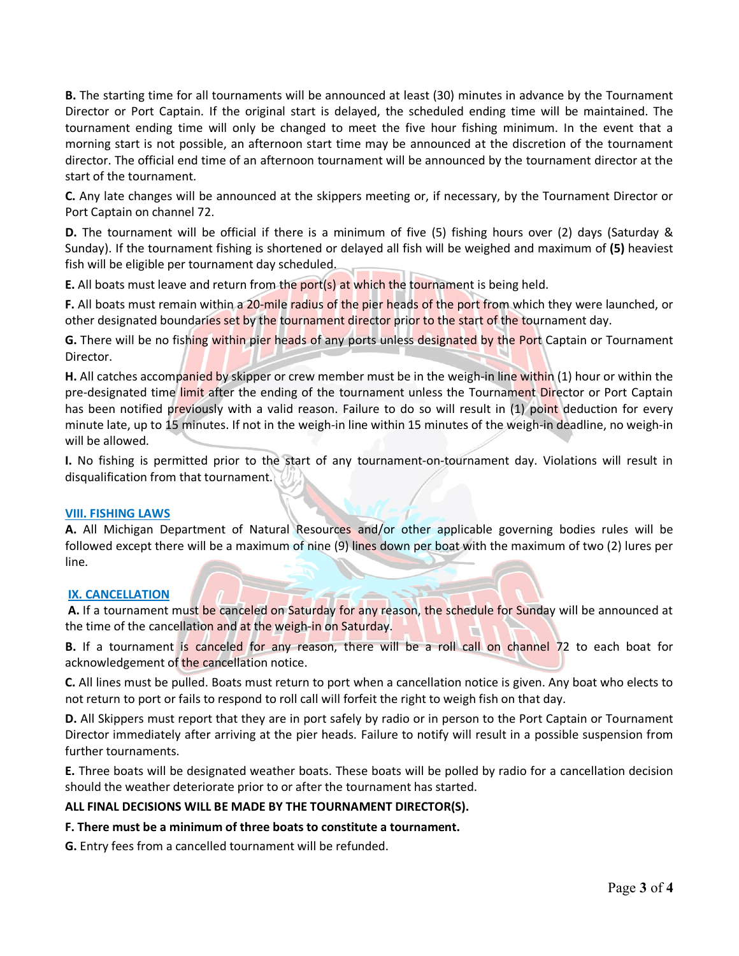**B.** The starting time for all tournaments will be announced at least (30) minutes in advance by the Tournament Director or Port Captain. If the original start is delayed, the scheduled ending time will be maintained. The tournament ending time will only be changed to meet the five hour fishing minimum. In the event that a morning start is not possible, an afternoon start time may be announced at the discretion of the tournament director. The official end time of an afternoon tournament will be announced by the tournament director at the start of the tournament.

**C.** Any late changes will be announced at the skippers meeting or, if necessary, by the Tournament Director or Port Captain on channel 72.

**D.** The tournament will be official if there is a minimum of five (5) fishing hours over (2) days (Saturday & Sunday). If the tournament fishing is shortened or delayed all fish will be weighed and maximum of **(5)** heaviest fish will be eligible per tournament day scheduled.

**E.** All boats must leave and return from the port(s) at which the tournament is being held.

**F.** All boats must remain within a 20-mile radius of the pier heads of the port from which they were launched, or other designated boundaries set by the tournament director prior to the start of the tournament day.

**G.** There will be no fishing within pier heads of any ports unless designated by the Port Captain or Tournament Director.

**H.** All catches accompanied by skipper or crew member must be in the weigh-in line within (1) hour or within the pre-designated time limit after the ending of the tournament unless the Tournament Director or Port Captain has been notified previously with a valid reason. Failure to do so will result in (1) point deduction for every minute late, up to 15 minutes. If not in the weigh-in line within 15 minutes of the weigh-in deadline, no weigh-in will be allowed.

**I.** No fishing is permitted prior to the start of any tournament-on-tournament day. Violations will result in disqualification from that tournament.

# **VIII. FISHING LAWS**

**A.** All Michigan Department of Natural Resources and/or other applicable governing bodies rules will be followed except there will be a maximum of nine (9) lines down per boat with the maximum of two (2) lures per line.

# **IX. CANCELLATION**

**A.** If a tournament must be canceled on Saturday for any reason, the schedule for Sunday will be announced at the time of the cancellation and at the weigh-in on Saturday.

**B.** If a tournament is canceled for any reason, there will be a roll call on channel 72 to each boat for acknowledgement of the cancellation notice.

**C.** All lines must be pulled. Boats must return to port when a cancellation notice is given. Any boat who elects to not return to port or fails to respond to roll call will forfeit the right to weigh fish on that day.

**D.** All Skippers must report that they are in port safely by radio or in person to the Port Captain or Tournament Director immediately after arriving at the pier heads. Failure to notify will result in a possible suspension from further tournaments.

**E.** Three boats will be designated weather boats. These boats will be polled by radio for a cancellation decision should the weather deteriorate prior to or after the tournament has started.

#### **ALL FINAL DECISIONS WILL BE MADE BY THE TOURNAMENT DIRECTOR(S).**

#### **F. There must be a minimum of three boats to constitute a tournament.**

**G.** Entry fees from a cancelled tournament will be refunded.